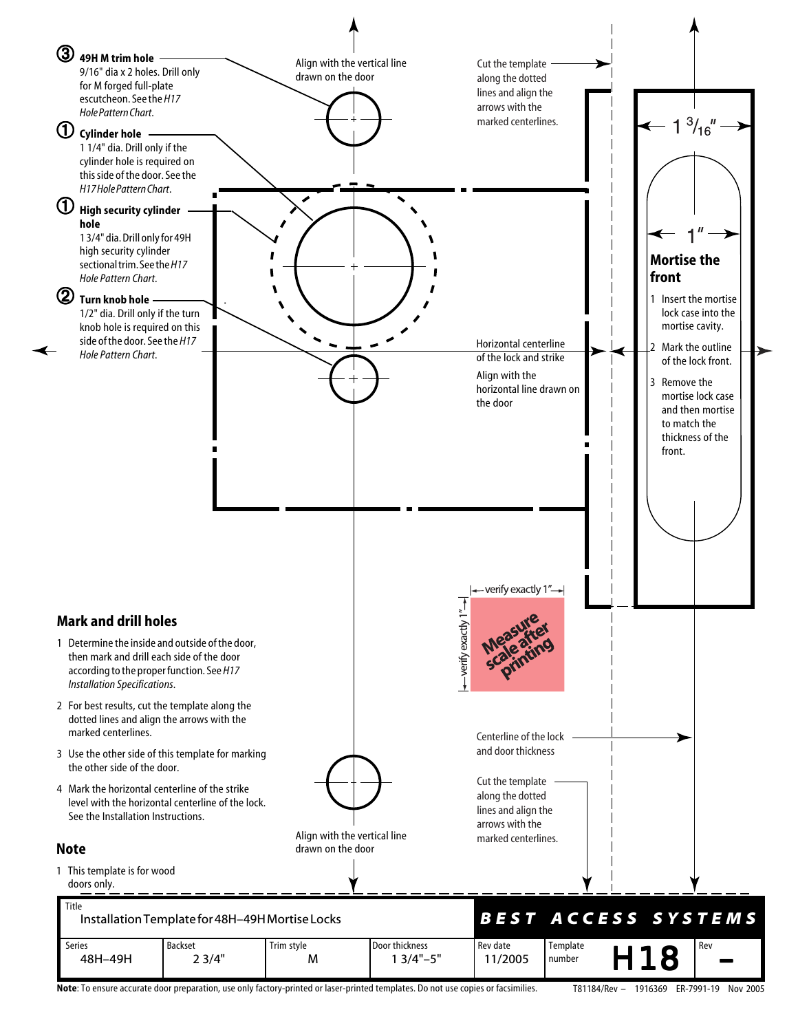

**Note**: To ensure accurate door preparation, use only factory-printed or laser-printed templates. Do not use copies or facsimilies. T81184/Rev – 1916369 ER-7991-19 Nov 2005